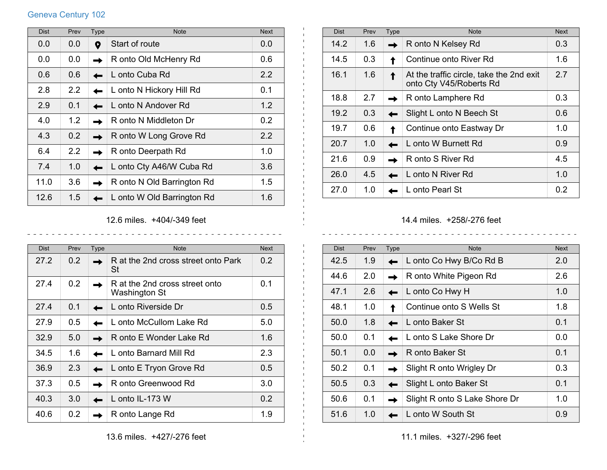## Geneva Century 102

| <b>Dist</b> | Prev | <b>Type</b> | <b>Note</b>                | <b>Next</b>      |
|-------------|------|-------------|----------------------------|------------------|
| 0.0         | 0.0  | 0           | Start of route             | 0.0              |
| 0.0         | 0.0  |             | R onto Old McHenry Rd      | 0.6              |
| 0.6         | 0.6  |             | L onto Cuba Rd             | 2.2              |
| 2.8         | 2.2  |             | L onto N Hickory Hill Rd   | 0.1              |
| 2.9         | 0.1  |             | L onto N Andover Rd        | 1.2              |
| 4.0         | 1.2  |             | R onto N Middleton Dr      | 0.2 <sub>0</sub> |
| 4.3         | 0.2  |             | R onto W Long Grove Rd     | 2.2              |
| 6.4         | 2.2  |             | R onto Deerpath Rd         | 1.0              |
| 7.4         | 1.0  |             | L onto Cty A46/W Cuba Rd   | 3.6              |
| 11.0        | 3.6  |             | R onto N Old Barrington Rd | 1.5              |
| 12.6        | 1.5  |             | L onto W Old Barrington Rd | 1.6              |

| <b>Dist</b> | Prev | Type | <b>Note</b>                                                         | <b>Next</b> |
|-------------|------|------|---------------------------------------------------------------------|-------------|
| 14.2        | 1.6  |      | R onto N Kelsey Rd                                                  | 0.3         |
| 14.5        | 0.3  |      | Continue onto River Rd                                              | 1.6         |
| 16.1        | 1.6  |      | At the traffic circle, take the 2nd exit<br>onto Cty V45/Roberts Rd | 2.7         |
| 18.8        | 2.7  |      | R onto Lamphere Rd                                                  | 0.3         |
| 19.2        | 0.3  |      | Slight L onto N Beech St                                            | 0.6         |
| 19.7        | 0.6  |      | Continue onto Eastway Dr                                            | 1.0         |
| 20.7        | 1.0  |      | L onto W Burnett Rd                                                 | 0.9         |
| 21.6        | 0.9  |      | R onto S River Rd                                                   | 4.5         |
| 26.0        | 4.5  |      | L onto N River Rd                                                   | 1.0         |
| 27.0        | 1.0  |      | L onto Pearl St                                                     | 0.2         |

## 12.6 miles. +404/-349 feet

 $\mathbf{I}$  $\mathbf{1}$ 

 $\pm 1$ 

<u>. . . . . . . . . . . . . . .</u>

| <b>Dist</b> | Prev | Type | <b>Note</b>                                     | <b>Next</b>   |
|-------------|------|------|-------------------------------------------------|---------------|
| 27.2        | 0.2  |      | R at the 2nd cross street onto Park<br>St       | 0.2           |
| 27.4        | 0.2  |      | R at the 2nd cross street onto<br>Washington St | 0.1           |
| 27.4        | 0.1  |      | L onto Riverside Dr                             | 0.5           |
| 27.9        | 0.5  |      | L onto McCullom Lake Rd                         | 5.0           |
| 32.9        | 5.0  |      | R onto E Wonder Lake Rd                         | 1.6           |
| 34.5        | 1.6  |      | L onto Barnard Mill Rd                          | 2.3           |
| 36.9        | 2.3  |      | L onto E Tryon Grove Rd                         | $0.5^{\circ}$ |
| 37.3        | 0.5  |      | R onto Greenwood Rd                             | 3.0           |
| 40.3        | 3.0  |      | L onto IL-173 W                                 | 0.2           |
| 40.6        | 0.2  |      | R onto Lange Rd                                 | 1.9           |

## 14.4 miles. +258/-276 feet

 $\frac{1}{2}$ 

| <b>Dist</b> | Prev | <b>Type</b> | <b>Note</b>                   | <b>Next</b> |
|-------------|------|-------------|-------------------------------|-------------|
| 42.5        | 1.9  |             | L onto Co Hwy B/Co Rd B       | 2.0         |
| 44.6        | 2.0  |             | R onto White Pigeon Rd        | 2.6         |
| 47.1        | 2.6  |             | L onto Co Hwy H               | 1.0         |
| 48.1        | 1.0  |             | Continue onto S Wells St      | 1.8         |
| 50.0        | 1.8  |             | L onto Baker St               | 0.1         |
| 50.0        | 0.1  |             | L onto S Lake Shore Dr        | 0.0         |
| 50.1        | 0.0  |             | R onto Baker St               | 0.1         |
| 50.2        | 0.1  |             | Slight R onto Wrigley Dr      | 0.3         |
| 50.5        | 0.3  |             | Slight L onto Baker St        | 0.1         |
| 50.6        | 0.1  |             | Slight R onto S Lake Shore Dr | 1.0         |
| 51.6        | 1.0  |             | L onto W South St             | 0.9         |